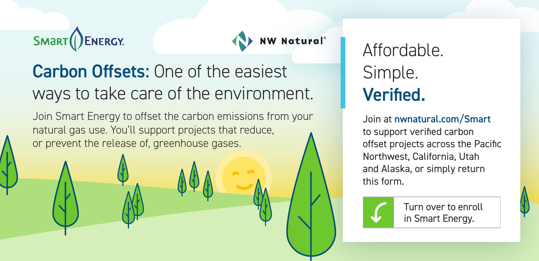## $S$ Mart $($ **)** ENERGY.

**NW Natural**<sup>®</sup>

## Carbon Offsets: One of the easiest ways to take care of the environment.

Join Smart Energy to offset the carbon emissions from your natural gas use. You'll support projects that reduce, or prevent the release of, greenhouse gases.

Affordable. Simple. Verified.

Join at nwnatural.com/Smart to support verified carbon offset projects across the Pacific Northwest, California, Utah and Alaska, or simply return this form.



Turn over to enroll in Smart Energy.